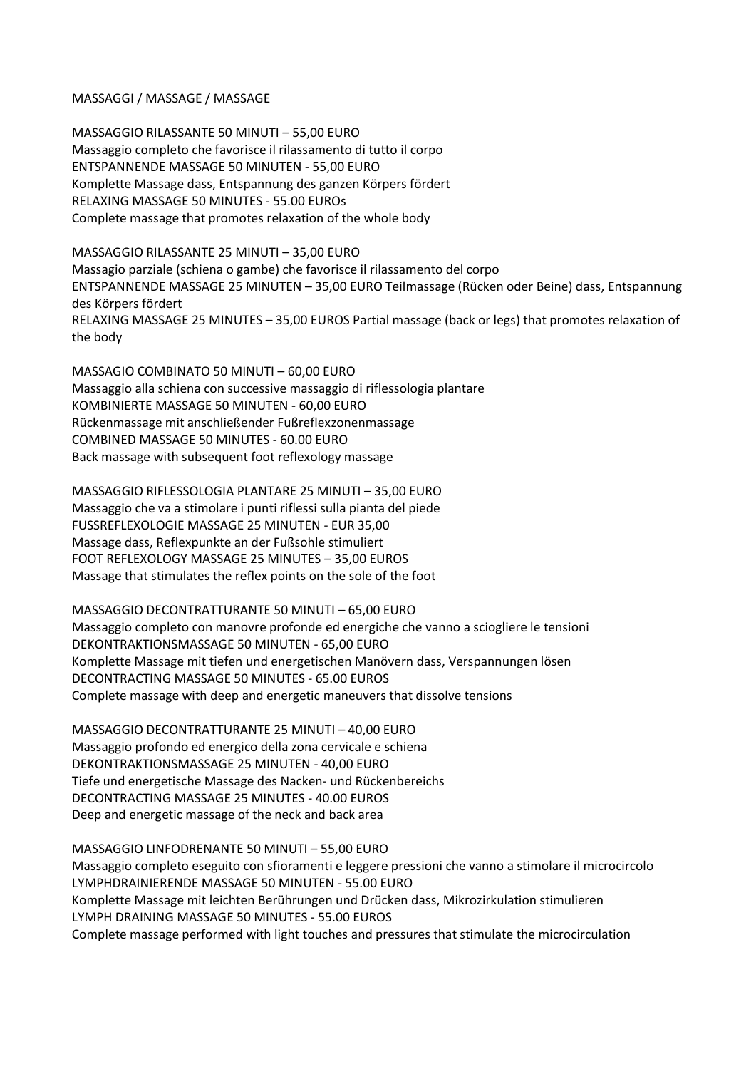## MASSAGGI / MASSAGE / MASSAGE

MASSAGGIO RILASSANTE 50 MINUTI – 55,00 EURO Massaggio completo che favorisce il rilassamento di tutto il corpo ENTSPANNENDE MASSAGE 50 MINUTEN - 55,00 EURO Komplette Massage dass, Entspannung des ganzen Körpers fördert RELAXING MASSAGE 50 MINUTES - 55.00 EUROs Complete massage that promotes relaxation of the whole body

MASSAGGIO RILASSANTE 25 MINUTI – 35,00 EURO Massagio parziale (schiena o gambe) che favorisce il rilassamento del corpo ENTSPANNENDE MASSAGE 25 MINUTEN – 35,00 EURO Teilmassage (Rücken oder Beine) dass, Entspannung des Körpers fördert RELAXING MASSAGE 25 MINUTES – 35,00 EUROS Partial massage (back or legs) that promotes relaxation of the body

MASSAGIO COMBINATO 50 MINUTI – 60,00 EURO Massaggio alla schiena con successive massaggio di riflessologia plantare KOMBINIERTE MASSAGE 50 MINUTEN - 60,00 EURO Rückenmassage mit anschließender Fußreflexzonenmassage COMBINED MASSAGE 50 MINUTES - 60.00 EURO Back massage with subsequent foot reflexology massage

MASSAGGIO RIFLESSOLOGIA PLANTARE 25 MINUTI – 35,00 EURO Massaggio che va a stimolare i punti riflessi sulla pianta del piede FUSSREFLEXOLOGIE MASSAGE 25 MINUTEN - EUR 35,00 Massage dass, Reflexpunkte an der Fußsohle stimuliert FOOT REFLEXOLOGY MASSAGE 25 MINUTES – 35,00 EUROS Massage that stimulates the reflex points on the sole of the foot

MASSAGGIO DECONTRATTURANTE 50 MINUTI – 65,00 EURO Massaggio completo con manovre profonde ed energiche che vanno a sciogliere le tensioni DEKONTRAKTIONSMASSAGE 50 MINUTEN - 65,00 EURO Komplette Massage mit tiefen und energetischen Manövern dass, Verspannungen lösen DECONTRACTING MASSAGE 50 MINUTES - 65.00 EUROS Complete massage with deep and energetic maneuvers that dissolve tensions

MASSAGGIO DECONTRATTURANTE 25 MINUTI – 40,00 EURO Massaggio profondo ed energico della zona cervicale e schiena DEKONTRAKTIONSMASSAGE 25 MINUTEN - 40,00 EURO Tiefe und energetische Massage des Nacken- und Rückenbereichs DECONTRACTING MASSAGE 25 MINUTES - 40.00 EUROS Deep and energetic massage of the neck and back area

MASSAGGIO LINFODRENANTE 50 MINUTI – 55,00 EURO Massaggio completo eseguito con sfioramenti e leggere pressioni che vanno a stimolare il microcircolo LYMPHDRAINIERENDE MASSAGE 50 MINUTEN - 55.00 EURO Komplette Massage mit leichten Berührungen und Drücken dass, Mikrozirkulation stimulieren LYMPH DRAINING MASSAGE 50 MINUTES - 55.00 EUROS Complete massage performed with light touches and pressures that stimulate the microcirculation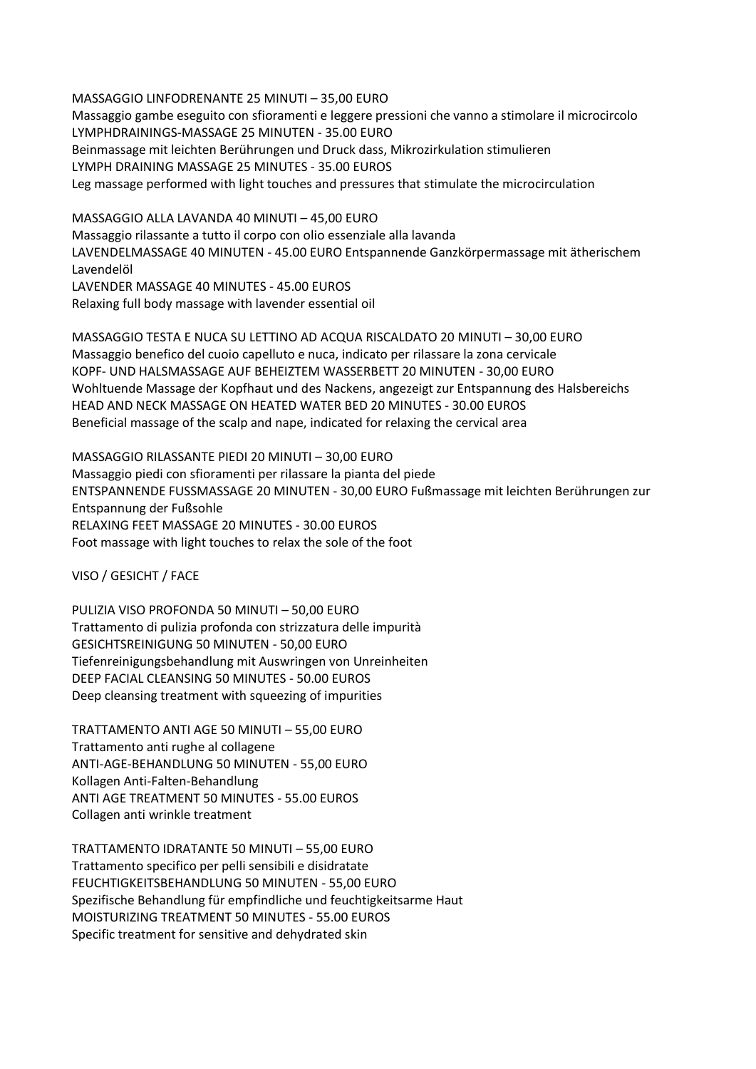MASSAGGIO LINFODRENANTE 25 MINUTI – 35,00 EURO Massaggio gambe eseguito con sfioramenti e leggere pressioni che vanno a stimolare il microcircolo LYMPHDRAININGS-MASSAGE 25 MINUTEN - 35.00 EURO Beinmassage mit leichten Berührungen und Druck dass, Mikrozirkulation stimulieren LYMPH DRAINING MASSAGE 25 MINUTES - 35.00 EUROS Leg massage performed with light touches and pressures that stimulate the microcirculation

MASSAGGIO ALLA LAVANDA 40 MINUTI – 45,00 EURO Massaggio rilassante a tutto il corpo con olio essenziale alla lavanda LAVENDELMASSAGE 40 MINUTEN - 45.00 EURO Entspannende Ganzkörpermassage mit ätherischem Lavendelöl LAVENDER MASSAGE 40 MINUTES - 45.00 EUROS Relaxing full body massage with lavender essential oil

MASSAGGIO TESTA E NUCA SU LETTINO AD ACQUA RISCALDATO 20 MINUTI – 30,00 EURO Massaggio benefico del cuoio capelluto e nuca, indicato per rilassare la zona cervicale KOPF- UND HALSMASSAGE AUF BEHEIZTEM WASSERBETT 20 MINUTEN - 30,00 EURO Wohltuende Massage der Kopfhaut und des Nackens, angezeigt zur Entspannung des Halsbereichs HEAD AND NECK MASSAGE ON HEATED WATER BED 20 MINUTES - 30.00 EUROS Beneficial massage of the scalp and nape, indicated for relaxing the cervical area

MASSAGGIO RILASSANTE PIEDI 20 MINUTI – 30,00 EURO Massaggio piedi con sfioramenti per rilassare la pianta del piede ENTSPANNENDE FUSSMASSAGE 20 MINUTEN - 30,00 EURO Fußmassage mit leichten Berührungen zur Entspannung der Fußsohle RELAXING FEET MASSAGE 20 MINUTES - 30.00 EUROS Foot massage with light touches to relax the sole of the foot

VISO / GESICHT / FACE

PULIZIA VISO PROFONDA 50 MINUTI – 50,00 EURO Trattamento di pulizia profonda con strizzatura delle impurità GESICHTSREINIGUNG 50 MINUTEN - 50,00 EURO Tiefenreinigungsbehandlung mit Auswringen von Unreinheiten DEEP FACIAL CLEANSING 50 MINUTES - 50.00 EUROS Deep cleansing treatment with squeezing of impurities

TRATTAMENTO ANTI AGE 50 MINUTI – 55,00 EURO Trattamento anti rughe al collagene ANTI-AGE-BEHANDLUNG 50 MINUTEN - 55,00 EURO Kollagen Anti-Falten-Behandlung ANTI AGE TREATMENT 50 MINUTES - 55.00 EUROS Collagen anti wrinkle treatment

TRATTAMENTO IDRATANTE 50 MINUTI – 55,00 EURO Trattamento specifico per pelli sensibili e disidratate FEUCHTIGKEITSBEHANDLUNG 50 MINUTEN - 55,00 EURO Spezifische Behandlung für empfindliche und feuchtigkeitsarme Haut MOISTURIZING TREATMENT 50 MINUTES - 55.00 EUROS Specific treatment for sensitive and dehydrated skin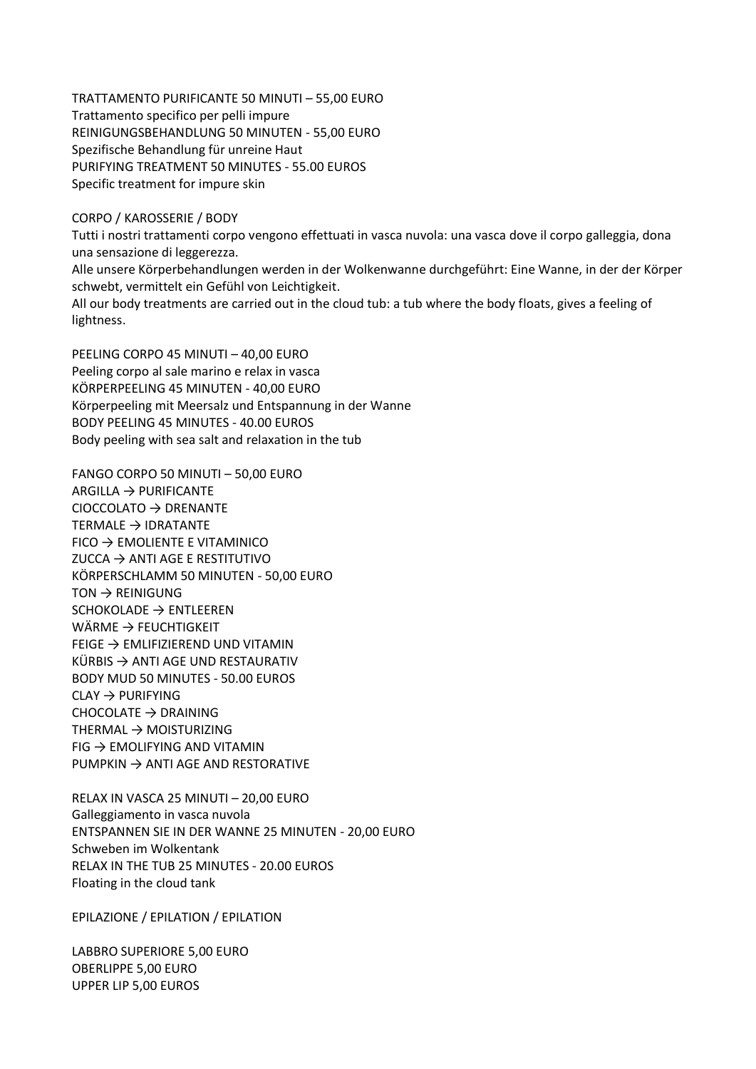TRATTAMENTO PURIFICANTE 50 MINUTI – 55,00 EURO Trattamento specifico per pelli impure REINIGUNGSBEHANDLUNG 50 MINUTEN - 55,00 EURO Spezifische Behandlung für unreine Haut PURIFYING TREATMENT 50 MINUTES - 55.00 EUROS Specific treatment for impure skin

## CORPO / KAROSSERIE / BODY

Tutti i nostri trattamenti corpo vengono effettuati in vasca nuvola: una vasca dove il corpo galleggia, dona una sensazione di leggerezza. Alle unsere Körperbehandlungen werden in der Wolkenwanne durchgeführt: Eine Wanne, in der der Körper schwebt, vermittelt ein Gefühl von Leichtigkeit.

All our body treatments are carried out in the cloud tub: a tub where the body floats, gives a feeling of lightness.

PEELING CORPO 45 MINUTI – 40,00 EURO Peeling corpo al sale marino e relax in vasca KÖRPERPEELING 45 MINUTEN - 40,00 EURO Körperpeeling mit Meersalz und Entspannung in der Wanne BODY PEELING 45 MINUTES - 40.00 EUROS Body peeling with sea salt and relaxation in the tub

FANGO CORPO 50 MINUTI – 50,00 EURO  $ARGILLA \rightarrow PURIFICANTE$  $CIOCCOLATO$   $\rightarrow$  DRENANTE TERMALE → IDRATANTE  $FICO \rightarrow EMOLIENTE E VITAMINICO$  $ZUCCA \rightarrow ANTI AGE E RESTITUTIVO$ KÖRPERSCHLAMM 50 MINUTEN - 50,00 EURO  $TON \rightarrow REINIGUNG$ SCHOKOLADE → ENTLEEREN WÄRME  $\rightarrow$  FEUCHTIGKEIT FEIGE → EMLIFIZIEREND UND VITAMIN KÜRBIS  $\rightarrow$  ANTI AGE UND RESTAURATIV BODY MUD 50 MINUTES - 50.00 EUROS  $CLAY \rightarrow PURIFYING$ CHOCOLATE  $\rightarrow$  DRAINING THERMAL → MOISTURIZING  $FIG \rightarrow EMOLIFYING AND VITAMIN$  $PUMPKIN \rightarrow ANTI AGE AND RESTORATIVE$ 

RELAX IN VASCA 25 MINUTI – 20,00 EURO Galleggiamento in vasca nuvola ENTSPANNEN SIE IN DER WANNE 25 MINUTEN - 20,00 EURO Schweben im Wolkentank RELAX IN THE TUB 25 MINUTES - 20.00 EUROS Floating in the cloud tank

EPILAZIONE / EPILATION / EPILATION

LABBRO SUPERIORE 5,00 EURO OBERLIPPE 5,00 EURO UPPER LIP 5,00 EUROS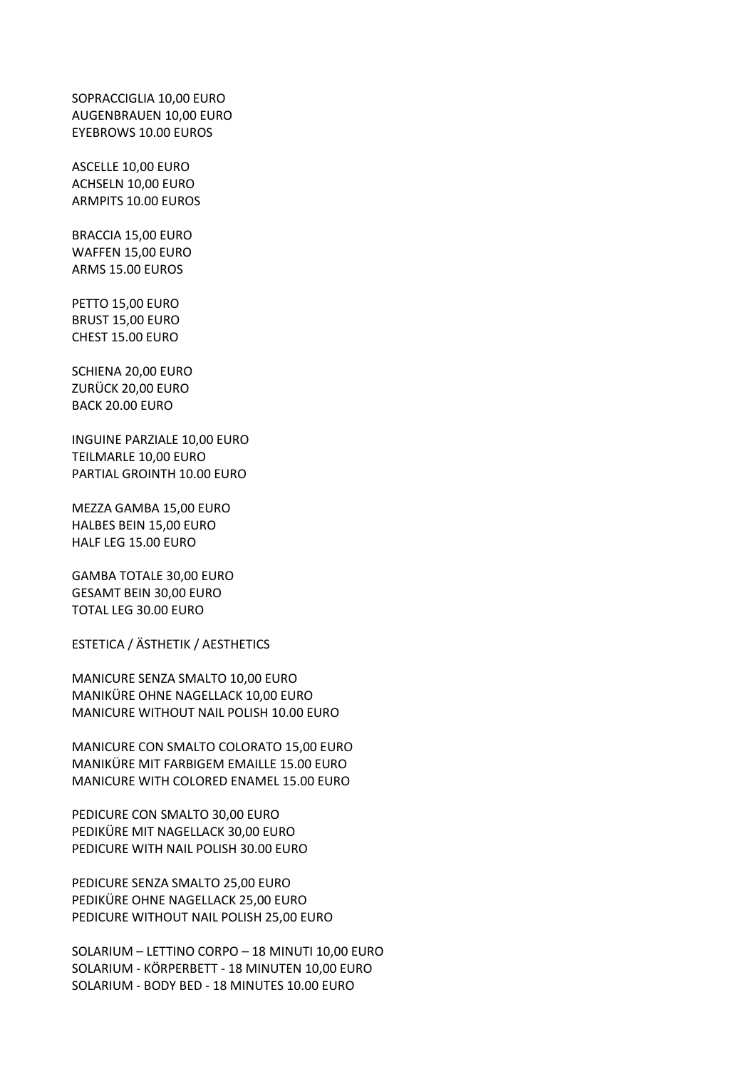SOPRACCIGLIA 10,00 EURO AUGENBRAUEN 10,00 EURO EYEBROWS 10.00 EUROS

ASCELLE 10,00 EURO ACHSELN 10,00 EURO ARMPITS 10.00 EUROS

BRACCIA 15,00 EURO WAFFEN 15,00 EURO ARMS 15.00 EUROS

PETTO 15,00 EURO BRUST 15,00 EURO CHEST 15.00 EURO

SCHIENA 20,00 EURO ZURÜCK 20,00 EURO BACK 20.00 EURO

INGUINE PARZIALE 10,00 EURO TEILMARLE 10,00 EURO PARTIAL GROINTH 10.00 EURO

MEZZA GAMBA 15,00 EURO HALBES BEIN 15,00 EURO HALF LEG 15.00 EURO

GAMBA TOTALE 30,00 EURO GESAMT BEIN 30,00 EURO TOTAL LEG 30.00 EURO

ESTETICA / ÄSTHETIK / AESTHETICS

MANICURE SENZA SMALTO 10,00 EURO MANIKÜRE OHNE NAGELLACK 10,00 EURO MANICURE WITHOUT NAIL POLISH 10.00 EURO

MANICURE CON SMALTO COLORATO 15,00 EURO MANIKÜRE MIT FARBIGEM EMAILLE 15.00 EURO MANICURE WITH COLORED ENAMEL 15.00 EURO

PEDICURE CON SMALTO 30,00 EURO PEDIKÜRE MIT NAGELLACK 30,00 EURO PEDICURE WITH NAIL POLISH 30.00 EURO

PEDICURE SENZA SMALTO 25,00 EURO PEDIKÜRE OHNE NAGELLACK 25,00 EURO PEDICURE WITHOUT NAIL POLISH 25,00 EURO

SOLARIUM – LETTINO CORPO – 18 MINUTI 10,00 EURO SOLARIUM - KÖRPERBETT - 18 MINUTEN 10,00 EURO SOLARIUM - BODY BED - 18 MINUTES 10.00 EURO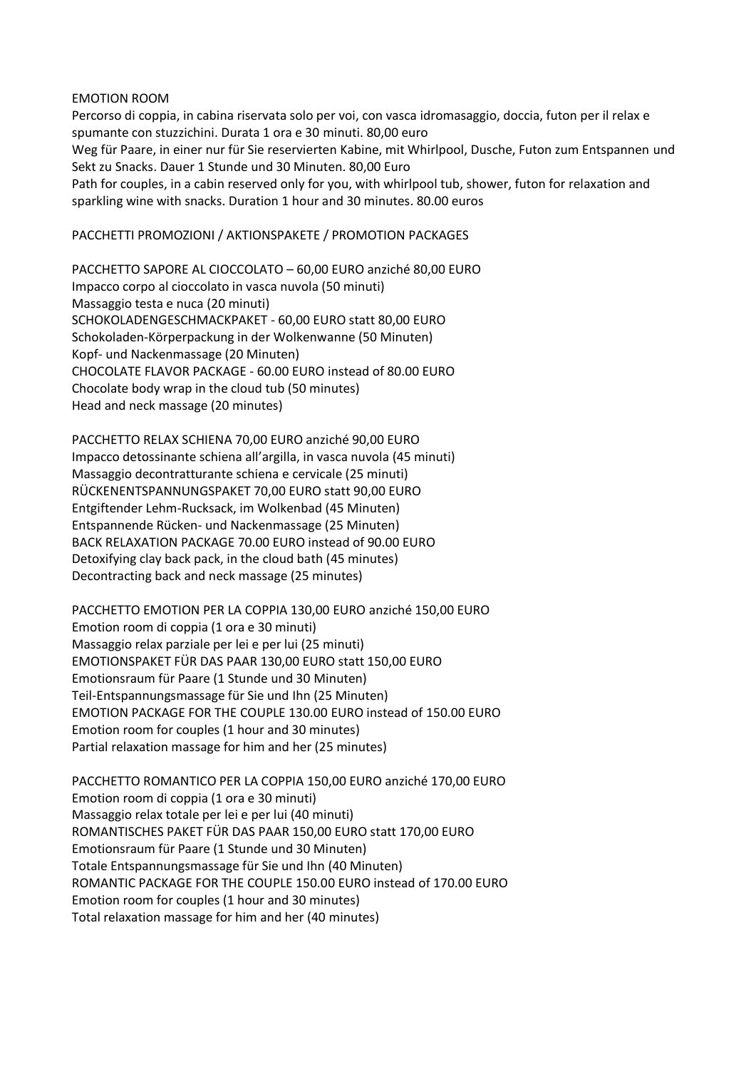## EMOTION ROOM

Percorso di coppia, in cabina riservata solo per voi, con vasca idromasaggio, doccia, futon per il relax e spumante con stuzzichini. Durata 1 ora e 30 minuti. 80,00 euro Weg für Paare, in einer nur für Sie reservierten Kabine, mit Whirlpool, Dusche, Futon zum Entspannen und Sekt zu Snacks. Dauer 1 Stunde und 30 Minuten. 80,00 Euro Path for couples, in a cabin reserved only for you, with whirlpool tub, shower, futon for relaxation and sparkling wine with snacks. Duration 1 hour and 30 minutes. 80.00 euros

## PACCHETTI PROMOZIONI / AKTIONSPAKETE / PROMOTION PACKAGES

PACCHETTO SAPORE AL CIOCCOLATO – 60,00 EURO anziché 80,00 EURO Impacco corpo al cioccolato in vasca nuvola (50 minuti) Massaggio testa e nuca (20 minuti) SCHOKOLADENGESCHMACKPAKET - 60,00 EURO statt 80,00 EURO Schokoladen-Körperpackung in der Wolkenwanne (50 Minuten) Kopf- und Nackenmassage (20 Minuten) CHOCOLATE FLAVOR PACKAGE - 60.00 EURO instead of 80.00 EURO Chocolate body wrap in the cloud tub (50 minutes) Head and neck massage (20 minutes)

PACCHETTO RELAX SCHIENA 70,00 EURO anziché 90,00 EURO Impacco detossinante schiena all'argilla, in vasca nuvola (45 minuti) Massaggio decontratturante schiena e cervicale (25 minuti) RÜCKENENTSPANNUNGSPAKET 70,00 EURO statt 90,00 EURO Entgiftender Lehm-Rucksack, im Wolkenbad (45 Minuten) Entspannende Rücken- und Nackenmassage (25 Minuten) BACK RELAXATION PACKAGE 70.00 EURO instead of 90.00 EURO Detoxifying clay back pack, in the cloud bath (45 minutes) Decontracting back and neck massage (25 minutes)

PACCHETTO EMOTION PER LA COPPIA 130,00 EURO anziché 150,00 EURO Emotion room di coppia (1 ora e 30 minuti) Massaggio relax parziale per lei e per lui (25 minuti) EMOTIONSPAKET FÜR DAS PAAR 130,00 EURO statt 150,00 EURO Emotionsraum für Paare (1 Stunde und 30 Minuten) Teil-Entspannungsmassage für Sie und Ihn (25 Minuten) EMOTION PACKAGE FOR THE COUPLE 130.00 EURO instead of 150.00 EURO Emotion room for couples (1 hour and 30 minutes) Partial relaxation massage for him and her (25 minutes)

PACCHETTO ROMANTICO PER LA COPPIA 150,00 EURO anziché 170,00 EURO Emotion room di coppia (1 ora e 30 minuti) Massaggio relax totale per lei e per lui (40 minuti) ROMANTISCHES PAKET FÜR DAS PAAR 150,00 EURO statt 170,00 EURO Emotionsraum für Paare (1 Stunde und 30 Minuten) Totale Entspannungsmassage für Sie und Ihn (40 Minuten) ROMANTIC PACKAGE FOR THE COUPLE 150.00 EURO instead of 170.00 EURO Emotion room for couples (1 hour and 30 minutes) Total relaxation massage for him and her (40 minutes)